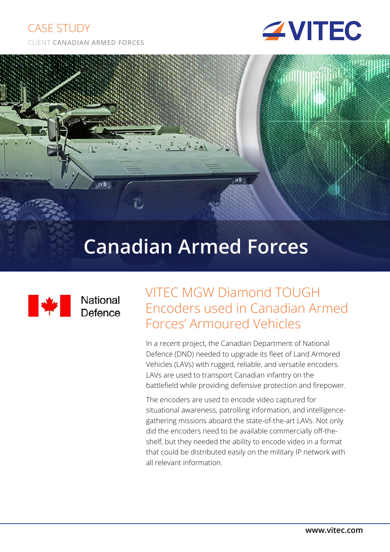#### CASE STUDY





# $10<sup>h</sup>$  $Re$ Canadian Armed Forces



### VITEC MGW Diamond TOUGH Encoders used in Canadian Armed Forces' Armoured Vehicles

In a recent project, the Canadian Department of National Defence (DND) needed to upgrade its fleet of Land Armored Vehicles (LAVs) with rugged, reliable, and versatile encoders. LAVs are used to transport Canadian infantry on the battlefield while providing defensive protection and firepower.

The encoders are used to encode video captured for situational awareness, patrolling information, and intelligencegathering missions aboard the state-of-the-art LAVs. Not only did the encoders need to be available commercially off-theshelf, but they needed the ability to encode video in a format that could be distributed easily on the military IP network with all relevant information.